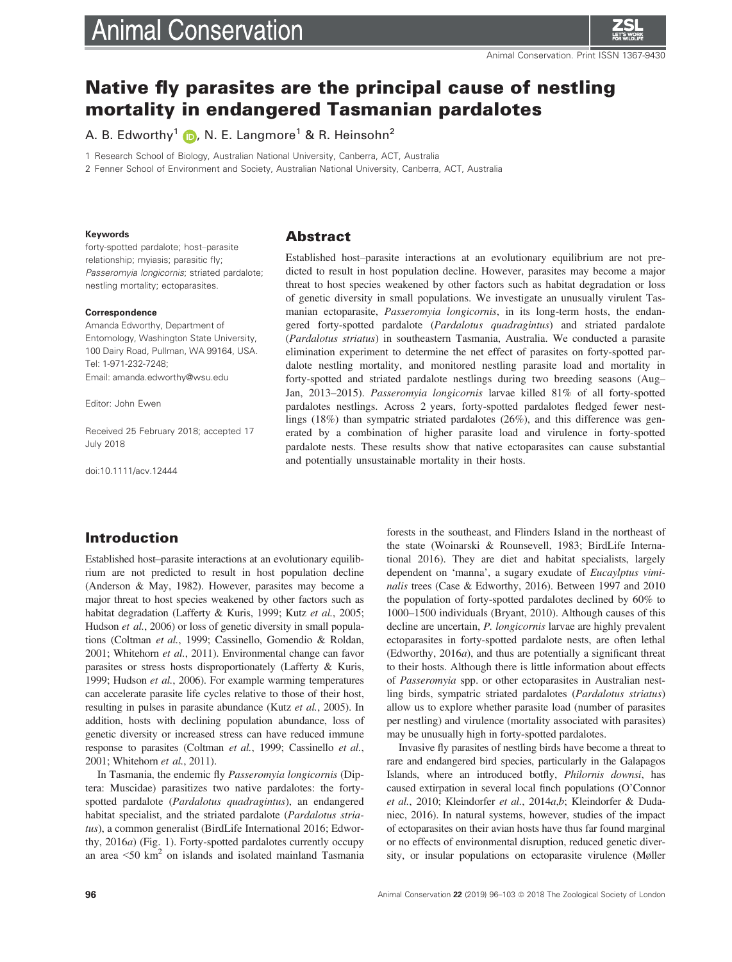# **Animal Conservation**



# Native fly parasites are the principal cause of nestling mortality in endangered Tasmanian pardalotes

A. B. Edworthy<sup>[1](http://orcid.org/0000-0003-1771-3333)</sup> **D**, N. E. Langmore<sup>1</sup> & R. Heinsohn<sup>2</sup>

1 Research School of Biology, Australian National University, Canberra, ACT, Australia

2 Fenner School of Environment and Society, Australian National University, Canberra, ACT, Australia

#### Keywords

forty-spotted pardalote; host–parasite relationship; myiasis; parasitic fly; Passeromvia longicornis; striated pardalote; nestling mortality; ectoparasites.

#### Correspondence

Amanda Edworthy, Department of Entomology, Washington State University, 100 Dairy Road, Pullman, WA 99164, USA. Tel: 1-971-232-7248; Email: [amanda.edworthy@wsu.edu](mailto:)

Editor: John Ewen

Received 25 February 2018; accepted 17 July 2018

doi:10.1111/acv.12444

#### Abstract

Established host–parasite interactions at an evolutionary equilibrium are not predicted to result in host population decline. However, parasites may become a major threat to host species weakened by other factors such as habitat degradation or loss of genetic diversity in small populations. We investigate an unusually virulent Tasmanian ectoparasite, Passeromyia longicornis, in its long-term hosts, the endangered forty-spotted pardalote (Pardalotus quadragintus) and striated pardalote (Pardalotus striatus) in southeastern Tasmania, Australia. We conducted a parasite elimination experiment to determine the net effect of parasites on forty-spotted pardalote nestling mortality, and monitored nestling parasite load and mortality in forty-spotted and striated pardalote nestlings during two breeding seasons (Aug– Jan, 2013–2015). Passeromyia longicornis larvae killed 81% of all forty-spotted pardalotes nestlings. Across 2 years, forty-spotted pardalotes fledged fewer nestlings (18%) than sympatric striated pardalotes (26%), and this difference was generated by a combination of higher parasite load and virulence in forty-spotted pardalote nests. These results show that native ectoparasites can cause substantial and potentially unsustainable mortality in their hosts.

#### Introduction

Established host–parasite interactions at an evolutionary equilibrium are not predicted to result in host population decline (Anderson & May, 1982). However, parasites may become a major threat to host species weakened by other factors such as habitat degradation (Lafferty & Kuris, 1999; Kutz et al., 2005; Hudson et al., 2006) or loss of genetic diversity in small populations (Coltman et al., 1999; Cassinello, Gomendio & Roldan, 2001; Whitehorn et al., 2011). Environmental change can favor parasites or stress hosts disproportionately (Lafferty & Kuris, 1999; Hudson et al., 2006). For example warming temperatures can accelerate parasite life cycles relative to those of their host, resulting in pulses in parasite abundance (Kutz et al., 2005). In addition, hosts with declining population abundance, loss of genetic diversity or increased stress can have reduced immune response to parasites (Coltman et al., 1999; Cassinello et al., 2001; Whitehorn et al., 2011).

In Tasmania, the endemic fly Passeromyia longicornis (Diptera: Muscidae) parasitizes two native pardalotes: the fortyspotted pardalote (Pardalotus quadragintus), an endangered habitat specialist, and the striated pardalote (Pardalotus striatus), a common generalist (BirdLife International 2016; Edworthy, 2016a) (Fig. 1). Forty-spotted pardalotes currently occupy an area  $\leq 50 \text{ km}^2$  on islands and isolated mainland Tasmania

forests in the southeast, and Flinders Island in the northeast of the state (Woinarski & Rounsevell, 1983; BirdLife International 2016). They are diet and habitat specialists, largely dependent on 'manna', a sugary exudate of Eucaylptus viminalis trees (Case & Edworthy, 2016). Between 1997 and 2010 the population of forty-spotted pardalotes declined by 60% to 1000–1500 individuals (Bryant, 2010). Although causes of this decline are uncertain, P. longicornis larvae are highly prevalent ectoparasites in forty-spotted pardalote nests, are often lethal (Edworthy, 2016a), and thus are potentially a significant threat to their hosts. Although there is little information about effects of Passeromyia spp. or other ectoparasites in Australian nestling birds, sympatric striated pardalotes (Pardalotus striatus) allow us to explore whether parasite load (number of parasites per nestling) and virulence (mortality associated with parasites) may be unusually high in forty-spotted pardalotes.

Invasive fly parasites of nestling birds have become a threat to rare and endangered bird species, particularly in the Galapagos Islands, where an introduced botfly, Philornis downsi, has caused extirpation in several local finch populations (O'Connor et al., 2010; Kleindorfer et al., 2014a,b; Kleindorfer & Dudaniec, 2016). In natural systems, however, studies of the impact of ectoparasites on their avian hosts have thus far found marginal or no effects of environmental disruption, reduced genetic diversity, or insular populations on ectoparasite virulence (Møller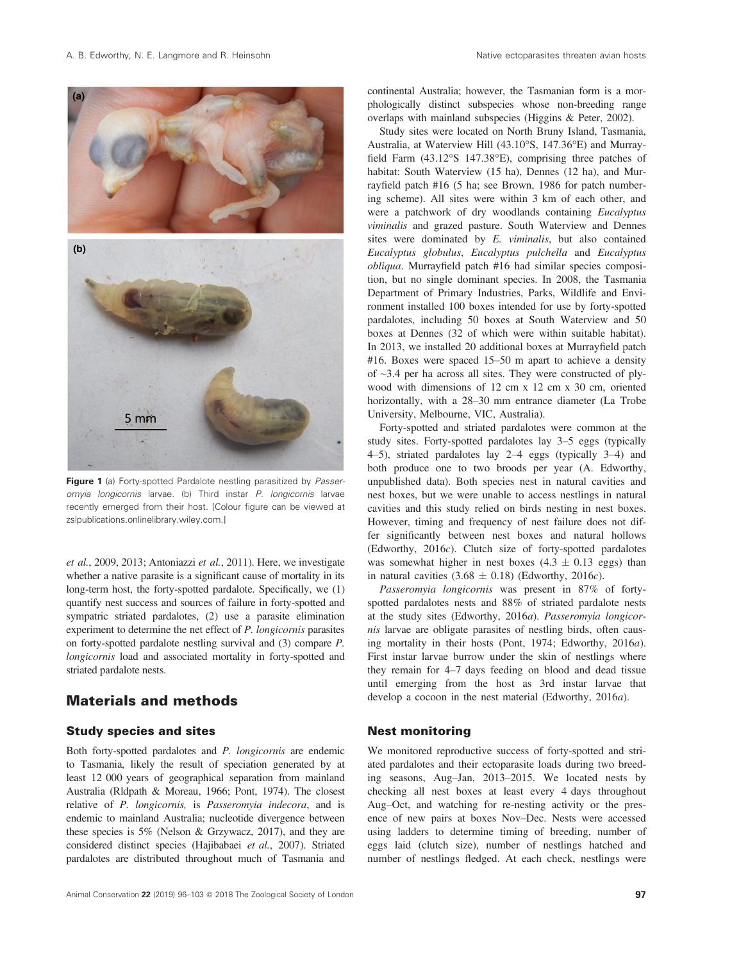

Figure 1 (a) Forty-spotted Pardalote nestling parasitized by Passeromyia longicornis larvae. (b) Third instar P. longicornis larvae recently emerged from their host. [Colour figure can be viewed at zslpublications.onlinelibrary.wiley.com.]

et al., 2009, 2013; Antoniazzi et al., 2011). Here, we investigate whether a native parasite is a significant cause of mortality in its long-term host, the forty-spotted pardalote. Specifically, we (1) quantify nest success and sources of failure in forty-spotted and sympatric striated pardalotes, (2) use a parasite elimination experiment to determine the net effect of P. longicornis parasites on forty-spotted pardalote nestling survival and (3) compare P. longicornis load and associated mortality in forty-spotted and striated pardalote nests.

## Materials and methods

#### Study species and sites

Both forty-spotted pardalotes and P. longicornis are endemic to Tasmania, likely the result of speciation generated by at least 12 000 years of geographical separation from mainland Australia (Rldpath & Moreau, 1966; Pont, 1974). The closest relative of P. longicornis, is Passeromyia indecora, and is endemic to mainland Australia; nucleotide divergence between these species is 5% (Nelson & Grzywacz, 2017), and they are considered distinct species (Hajibabaei et al., 2007). Striated pardalotes are distributed throughout much of Tasmania and

Animal Conservation 22 (2019) 96-103  $\circledcirc$  2018 The Zoological Society of London 97 (2018) 97

continental Australia; however, the Tasmanian form is a morphologically distinct subspecies whose non-breeding range overlaps with mainland subspecies (Higgins & Peter, 2002).

Study sites were located on North Bruny Island, Tasmania, Australia, at Waterview Hill (43.10°S, 147.36°E) and Murrayfield Farm (43.12°S 147.38°E), comprising three patches of habitat: South Waterview (15 ha), Dennes (12 ha), and Murrayfield patch #16 (5 ha; see Brown, 1986 for patch numbering scheme). All sites were within 3 km of each other, and were a patchwork of dry woodlands containing *Eucalyptus* viminalis and grazed pasture. South Waterview and Dennes sites were dominated by E. viminalis, but also contained Eucalyptus globulus, Eucalyptus pulchella and Eucalyptus obliqua. Murrayfield patch #16 had similar species composition, but no single dominant species. In 2008, the Tasmania Department of Primary Industries, Parks, Wildlife and Environment installed 100 boxes intended for use by forty-spotted pardalotes, including 50 boxes at South Waterview and 50 boxes at Dennes (32 of which were within suitable habitat). In 2013, we installed 20 additional boxes at Murrayfield patch #16. Boxes were spaced 15–50 m apart to achieve a density of  $\sim$ 3.4 per ha across all sites. They were constructed of plywood with dimensions of 12 cm x 12 cm x 30 cm, oriented horizontally, with a  $28-30$  mm entrance diameter (La Trobe University, Melbourne, VIC, Australia).

Forty-spotted and striated pardalotes were common at the study sites. Forty-spotted pardalotes lay 3–5 eggs (typically 4–5), striated pardalotes lay 2–4 eggs (typically 3–4) and both produce one to two broods per year (A. Edworthy, unpublished data). Both species nest in natural cavities and nest boxes, but we were unable to access nestlings in natural cavities and this study relied on birds nesting in nest boxes. However, timing and frequency of nest failure does not differ significantly between nest boxes and natural hollows (Edworthy, 2016c). Clutch size of forty-spotted pardalotes was somewhat higher in nest boxes  $(4.3 \pm 0.13 \text{ eggs})$  than in natural cavities  $(3.68 \pm 0.18)$  (Edworthy, 2016*c*).

Passeromyia longicornis was present in 87% of fortyspotted pardalotes nests and 88% of striated pardalote nests at the study sites (Edworthy, 2016a). Passeromyia longicornis larvae are obligate parasites of nestling birds, often causing mortality in their hosts (Pont, 1974; Edworthy, 2016a). First instar larvae burrow under the skin of nestlings where they remain for 4–7 days feeding on blood and dead tissue until emerging from the host as 3rd instar larvae that develop a cocoon in the nest material (Edworthy, 2016a).

#### Nest monitoring

We monitored reproductive success of forty-spotted and striated pardalotes and their ectoparasite loads during two breeding seasons, Aug–Jan, 2013–2015. We located nests by checking all nest boxes at least every 4 days throughout Aug–Oct, and watching for re-nesting activity or the presence of new pairs at boxes Nov–Dec. Nests were accessed using ladders to determine timing of breeding, number of eggs laid (clutch size), number of nestlings hatched and number of nestlings fledged. At each check, nestlings were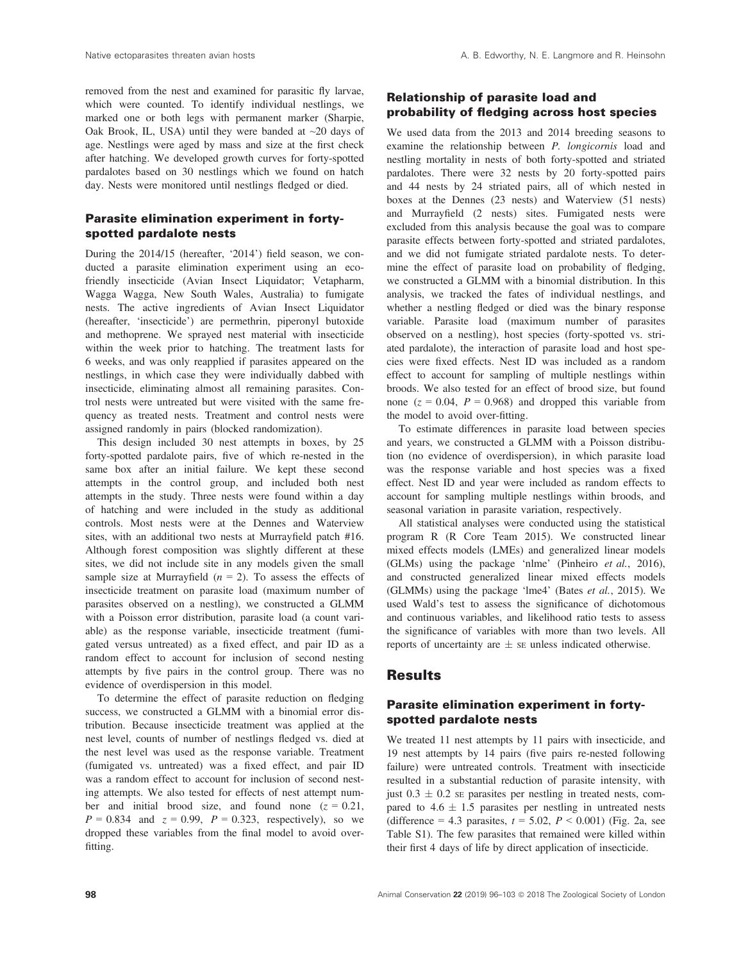removed from the nest and examined for parasitic fly larvae, which were counted. To identify individual nestlings, we marked one or both legs with permanent marker (Sharpie, Oak Brook, IL, USA) until they were banded at  $\sim$ 20 days of age. Nestlings were aged by mass and size at the first check after hatching. We developed growth curves for forty-spotted pardalotes based on 30 nestlings which we found on hatch day. Nests were monitored until nestlings fledged or died.

#### Parasite elimination experiment in fortyspotted pardalote nests

During the 2014/15 (hereafter, '2014') field season, we conducted a parasite elimination experiment using an ecofriendly insecticide (Avian Insect Liquidator; Vetapharm, Wagga Wagga, New South Wales, Australia) to fumigate nests. The active ingredients of Avian Insect Liquidator (hereafter, 'insecticide') are permethrin, piperonyl butoxide and methoprene. We sprayed nest material with insecticide within the week prior to hatching. The treatment lasts for 6 weeks, and was only reapplied if parasites appeared on the nestlings, in which case they were individually dabbed with insecticide, eliminating almost all remaining parasites. Control nests were untreated but were visited with the same frequency as treated nests. Treatment and control nests were assigned randomly in pairs (blocked randomization).

This design included 30 nest attempts in boxes, by 25 forty-spotted pardalote pairs, five of which re-nested in the same box after an initial failure. We kept these second attempts in the control group, and included both nest attempts in the study. Three nests were found within a day of hatching and were included in the study as additional controls. Most nests were at the Dennes and Waterview sites, with an additional two nests at Murrayfield patch #16. Although forest composition was slightly different at these sites, we did not include site in any models given the small sample size at Murrayfield  $(n = 2)$ . To assess the effects of insecticide treatment on parasite load (maximum number of parasites observed on a nestling), we constructed a GLMM with a Poisson error distribution, parasite load (a count variable) as the response variable, insecticide treatment (fumigated versus untreated) as a fixed effect, and pair ID as a random effect to account for inclusion of second nesting attempts by five pairs in the control group. There was no evidence of overdispersion in this model.

To determine the effect of parasite reduction on fledging success, we constructed a GLMM with a binomial error distribution. Because insecticide treatment was applied at the nest level, counts of number of nestlings fledged vs. died at the nest level was used as the response variable. Treatment (fumigated vs. untreated) was a fixed effect, and pair ID was a random effect to account for inclusion of second nesting attempts. We also tested for effects of nest attempt number and initial brood size, and found none  $(z = 0.21)$ ,  $P = 0.834$  and  $z = 0.99$ ,  $P = 0.323$ , respectively), so we dropped these variables from the final model to avoid overfitting.

#### Relationship of parasite load and probability of fledging across host species

We used data from the 2013 and 2014 breeding seasons to examine the relationship between P. longicornis load and nestling mortality in nests of both forty-spotted and striated pardalotes. There were 32 nests by 20 forty-spotted pairs and 44 nests by 24 striated pairs, all of which nested in boxes at the Dennes (23 nests) and Waterview (51 nests) and Murrayfield (2 nests) sites. Fumigated nests were excluded from this analysis because the goal was to compare parasite effects between forty-spotted and striated pardalotes, and we did not fumigate striated pardalote nests. To determine the effect of parasite load on probability of fledging, we constructed a GLMM with a binomial distribution. In this analysis, we tracked the fates of individual nestlings, and whether a nestling fledged or died was the binary response variable. Parasite load (maximum number of parasites observed on a nestling), host species (forty-spotted vs. striated pardalote), the interaction of parasite load and host species were fixed effects. Nest ID was included as a random effect to account for sampling of multiple nestlings within broods. We also tested for an effect of brood size, but found none  $(z = 0.04, P = 0.968)$  and dropped this variable from the model to avoid over-fitting.

To estimate differences in parasite load between species and years, we constructed a GLMM with a Poisson distribution (no evidence of overdispersion), in which parasite load was the response variable and host species was a fixed effect. Nest ID and year were included as random effects to account for sampling multiple nestlings within broods, and seasonal variation in parasite variation, respectively.

All statistical analyses were conducted using the statistical program R (R Core Team 2015). We constructed linear mixed effects models (LMEs) and generalized linear models (GLMs) using the package 'nlme' (Pinheiro et al., 2016), and constructed generalized linear mixed effects models (GLMMs) using the package 'lme4' (Bates et al., 2015). We used Wald's test to assess the significance of dichotomous and continuous variables, and likelihood ratio tests to assess the significance of variables with more than two levels. All reports of uncertainty are  $\pm$  se unless indicated otherwise.

## **Results**

#### Parasite elimination experiment in fortyspotted pardalote nests

We treated 11 nest attempts by 11 pairs with insecticide, and 19 nest attempts by 14 pairs (five pairs re-nested following failure) were untreated controls. Treatment with insecticide resulted in a substantial reduction of parasite intensity, with just  $0.3 \pm 0.2$  SE parasites per nestling in treated nests, compared to  $4.6 \pm 1.5$  parasites per nestling in untreated nests (difference = 4.3 parasites,  $t = 5.02$ ,  $P < 0.001$ ) (Fig. 2a, see Table S1). The few parasites that remained were killed within their first 4 days of life by direct application of insecticide.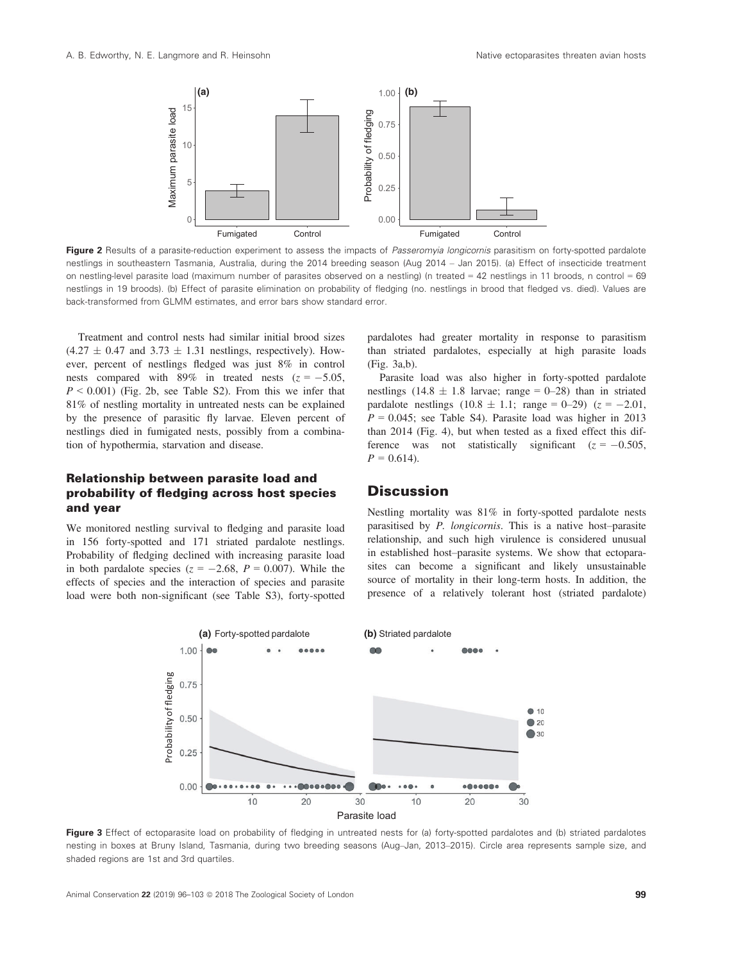

Figure 2 Results of a parasite-reduction experiment to assess the impacts of Passeromyia longicornis parasitism on forty-spotted pardalote nestlings in southeastern Tasmania, Australia, during the 2014 breeding season (Aug 2014 – Jan 2015). (a) Effect of insecticide treatment on nestling-level parasite load (maximum number of parasites observed on a nestling) (n treated = 42 nestlings in 11 broods, n control = 69 nestlings in 19 broods). (b) Effect of parasite elimination on probability of fledging (no. nestlings in brood that fledged vs. died). Values are back-transformed from GLMM estimates, and error bars show standard error.

Treatment and control nests had similar initial brood sizes  $(4.27 \pm 0.47$  and  $3.73 \pm 1.31$  nestlings, respectively). However, percent of nestlings fledged was just 8% in control nests compared with 89% in treated nests  $(z = -5.05$ ,  $P \le 0.001$ ) (Fig. 2b, see Table S2). From this we infer that 81% of nestling mortality in untreated nests can be explained by the presence of parasitic fly larvae. Eleven percent of nestlings died in fumigated nests, possibly from a combination of hypothermia, starvation and disease.

#### Relationship between parasite load and probability of fledging across host species and year

We monitored nestling survival to fledging and parasite load in 156 forty-spotted and 171 striated pardalote nestlings. Probability of fledging declined with increasing parasite load in both pardalote species ( $z = -2.68$ ,  $P = 0.007$ ). While the effects of species and the interaction of species and parasite load were both non-significant (see Table S3), forty-spotted pardalotes had greater mortality in response to parasitism than striated pardalotes, especially at high parasite loads (Fig. 3a,b).

Parasite load was also higher in forty-spotted pardalote nestlings (14.8  $\pm$  1.8 larvae; range = 0–28) than in striated pardalote nestlings  $(10.8 \pm 1.1; \text{ range} = 0.29)$   $(z = -2.01,$  $P = 0.045$ ; see Table S4). Parasite load was higher in 2013 than 2014 (Fig. 4), but when tested as a fixed effect this difference was not statistically significant ( $z = -0.505$ ,  $P = 0.614$ .

#### **Discussion**

Nestling mortality was 81% in forty-spotted pardalote nests parasitised by P. longicornis. This is a native host–parasite relationship, and such high virulence is considered unusual in established host–parasite systems. We show that ectoparasites can become a significant and likely unsustainable source of mortality in their long-term hosts. In addition, the presence of a relatively tolerant host (striated pardalote)



Figure 3 Effect of ectoparasite load on probability of fledging in untreated nests for (a) forty-spotted pardalotes and (b) striated pardalotes nesting in boxes at Bruny Island, Tasmania, during two breeding seasons (Aug–Jan, 2013–2015). Circle area represents sample size, and shaded regions are 1st and 3rd quartiles.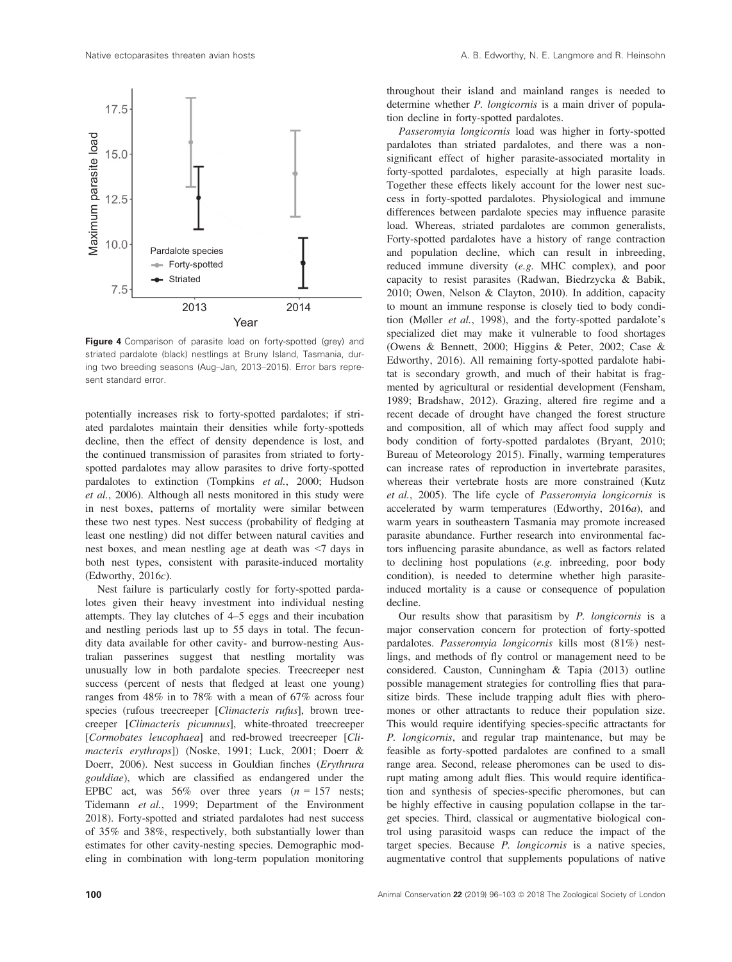

Figure 4 Comparison of parasite load on forty-spotted (grey) and striated pardalote (black) nestlings at Bruny Island, Tasmania, during two breeding seasons (Aug–Jan, 2013–2015). Error bars represent standard error.

potentially increases risk to forty-spotted pardalotes; if striated pardalotes maintain their densities while forty-spotteds decline, then the effect of density dependence is lost, and the continued transmission of parasites from striated to fortyspotted pardalotes may allow parasites to drive forty-spotted pardalotes to extinction (Tompkins et al., 2000; Hudson et al., 2006). Although all nests monitored in this study were in nest boxes, patterns of mortality were similar between these two nest types. Nest success (probability of fledging at least one nestling) did not differ between natural cavities and nest boxes, and mean nestling age at death was <7 days in both nest types, consistent with parasite-induced mortality (Edworthy,  $2016c$ ).

Nest failure is particularly costly for forty-spotted pardalotes given their heavy investment into individual nesting attempts. They lay clutches of 4–5 eggs and their incubation and nestling periods last up to 55 days in total. The fecundity data available for other cavity- and burrow-nesting Australian passerines suggest that nestling mortality was unusually low in both pardalote species. Treecreeper nest success (percent of nests that fledged at least one young) ranges from 48% in to 78% with a mean of 67% across four species (rufous treecreeper [Climacteris rufus], brown treecreeper [Climacteris picumnus], white-throated treecreeper [Cormobates leucophaea] and red-browed treecreeper [Climacteris erythrops]) (Noske, 1991; Luck, 2001; Doerr & Doerr, 2006). Nest success in Gouldian finches (Erythrura gouldiae), which are classified as endangered under the EPBC act, was  $56\%$  over three years  $(n = 157$  nests; Tidemann et al., 1999; Department of the Environment 2018). Forty-spotted and striated pardalotes had nest success of 35% and 38%, respectively, both substantially lower than estimates for other cavity-nesting species. Demographic modeling in combination with long-term population monitoring

throughout their island and mainland ranges is needed to determine whether *P. longicornis* is a main driver of population decline in forty-spotted pardalotes.

Passeromyia longicornis load was higher in forty-spotted pardalotes than striated pardalotes, and there was a nonsignificant effect of higher parasite-associated mortality in forty-spotted pardalotes, especially at high parasite loads. Together these effects likely account for the lower nest success in forty-spotted pardalotes. Physiological and immune differences between pardalote species may influence parasite load. Whereas, striated pardalotes are common generalists, Forty-spotted pardalotes have a history of range contraction and population decline, which can result in inbreeding, reduced immune diversity (e.g. MHC complex), and poor capacity to resist parasites (Radwan, Biedrzycka & Babik, 2010; Owen, Nelson & Clayton, 2010). In addition, capacity to mount an immune response is closely tied to body condition (Møller et al., 1998), and the forty-spotted pardalote's specialized diet may make it vulnerable to food shortages (Owens & Bennett, 2000; Higgins & Peter, 2002; Case & Edworthy, 2016). All remaining forty-spotted pardalote habitat is secondary growth, and much of their habitat is fragmented by agricultural or residential development (Fensham, 1989; Bradshaw, 2012). Grazing, altered fire regime and a recent decade of drought have changed the forest structure and composition, all of which may affect food supply and body condition of forty-spotted pardalotes (Bryant, 2010; Bureau of Meteorology 2015). Finally, warming temperatures can increase rates of reproduction in invertebrate parasites, whereas their vertebrate hosts are more constrained (Kutz et al., 2005). The life cycle of Passeromyia longicornis is accelerated by warm temperatures (Edworthy, 2016a), and warm years in southeastern Tasmania may promote increased parasite abundance. Further research into environmental factors influencing parasite abundance, as well as factors related to declining host populations (e.g. inbreeding, poor body condition), is needed to determine whether high parasiteinduced mortality is a cause or consequence of population decline.

Our results show that parasitism by  $P$ . longicornis is a major conservation concern for protection of forty-spotted pardalotes. Passeromyia longicornis kills most (81%) nestlings, and methods of fly control or management need to be considered. Causton, Cunningham & Tapia (2013) outline possible management strategies for controlling flies that parasitize birds. These include trapping adult flies with pheromones or other attractants to reduce their population size. This would require identifying species-specific attractants for P. longicornis, and regular trap maintenance, but may be feasible as forty-spotted pardalotes are confined to a small range area. Second, release pheromones can be used to disrupt mating among adult flies. This would require identification and synthesis of species-specific pheromones, but can be highly effective in causing population collapse in the target species. Third, classical or augmentative biological control using parasitoid wasps can reduce the impact of the target species. Because P. longicornis is a native species, augmentative control that supplements populations of native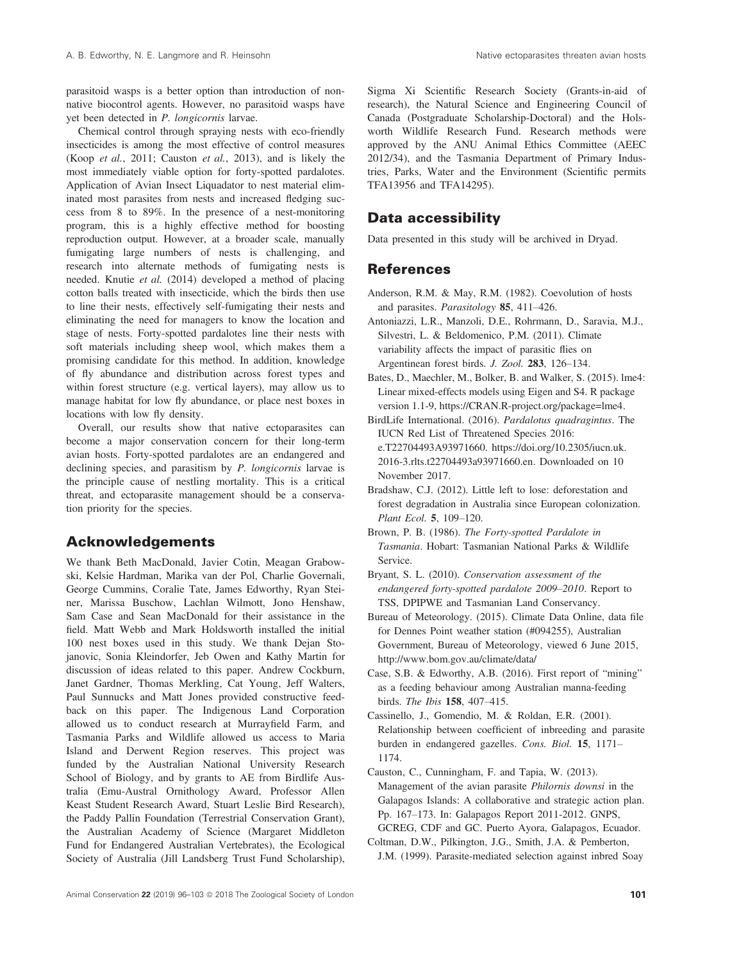parasitoid wasps is a better option than introduction of nonnative biocontrol agents. However, no parasitoid wasps have yet been detected in P. longicornis larvae.

Chemical control through spraying nests with eco-friendly insecticides is among the most effective of control measures (Koop et al., 2011; Causton et al., 2013), and is likely the most immediately viable option for forty-spotted pardalotes. Application of Avian Insect Liquadator to nest material eliminated most parasites from nests and increased fledging success from 8 to 89%. In the presence of a nest-monitoring program, this is a highly effective method for boosting reproduction output. However, at a broader scale, manually fumigating large numbers of nests is challenging, and research into alternate methods of fumigating nests is needed. Knutie et al. (2014) developed a method of placing cotton balls treated with insecticide, which the birds then use to line their nests, effectively self-fumigating their nests and eliminating the need for managers to know the location and stage of nests. Forty-spotted pardalotes line their nests with soft materials including sheep wool, which makes them a promising candidate for this method. In addition, knowledge of fly abundance and distribution across forest types and within forest structure (e.g. vertical layers), may allow us to manage habitat for low fly abundance, or place nest boxes in locations with low fly density.

Overall, our results show that native ectoparasites can become a major conservation concern for their long-term avian hosts. Forty-spotted pardalotes are an endangered and declining species, and parasitism by *P. longicornis* larvae is the principle cause of nestling mortality. This is a critical threat, and ectoparasite management should be a conservation priority for the species.

#### Acknowledgements

We thank Beth MacDonald, Javier Cotin, Meagan Grabowski, Kelsie Hardman, Marika van der Pol, Charlie Governali, George Cummins, Coralie Tate, James Edworthy, Ryan Steiner, Marissa Buschow, Lachlan Wilmott, Jono Henshaw, Sam Case and Sean MacDonald for their assistance in the field. Matt Webb and Mark Holdsworth installed the initial 100 nest boxes used in this study. We thank Dejan Stojanovic, Sonia Kleindorfer, Jeb Owen and Kathy Martin for discussion of ideas related to this paper. Andrew Cockburn, Janet Gardner, Thomas Merkling, Cat Young, Jeff Walters, Paul Sunnucks and Matt Jones provided constructive feedback on this paper. The Indigenous Land Corporation allowed us to conduct research at Murrayfield Farm, and Tasmania Parks and Wildlife allowed us access to Maria Island and Derwent Region reserves. This project was funded by the Australian National University Research School of Biology, and by grants to AE from Birdlife Australia (Emu-Austral Ornithology Award, Professor Allen Keast Student Research Award, Stuart Leslie Bird Research), the Paddy Pallin Foundation (Terrestrial Conservation Grant), the Australian Academy of Science (Margaret Middleton Fund for Endangered Australian Vertebrates), the Ecological Society of Australia (Jill Landsberg Trust Fund Scholarship),

Sigma Xi Scientific Research Society (Grants-in-aid of research), the Natural Science and Engineering Council of Canada (Postgraduate Scholarship-Doctoral) and the Holsworth Wildlife Research Fund. Research methods were approved by the ANU Animal Ethics Committee (AEEC 2012/34), and the Tasmania Department of Primary Industries, Parks, Water and the Environment (Scientific permits TFA13956 and TFA14295).

#### Data accessibility

Data presented in this study will be archived in Dryad.

#### References

- Anderson, R.M. & May, R.M. (1982). Coevolution of hosts and parasites. Parasitology 85, 411–426.
- Antoniazzi, L.R., Manzoli, D.E., Rohrmann, D., Saravia, M.J., Silvestri, L. & Beldomenico, P.M. (2011). Climate variability affects the impact of parasitic flies on Argentinean forest birds. J. Zool. 283, 126–134.
- Bates, D., Maechler, M., Bolker, B. and Walker, S. (2015). lme4: Linear mixed-effects models using Eigen and S4. R package version 1.1-9, [https://CRAN.R-project.org/package=lme4.](https://CRAN.R-project.org/package=lme4)
- BirdLife International. (2016). Pardalotus quadragintus. The IUCN Red List of Threatened Species 2016: e.T22704493A93971660. [https://doi.org/10.2305/iucn.uk.](https://doi.org/10.2305/iucn.uk.2016-3.rlts.t22704493a93971660.en) [2016-3.rlts.t22704493a93971660.en.](https://doi.org/10.2305/iucn.uk.2016-3.rlts.t22704493a93971660.en) Downloaded on 10 November 2017.
- Bradshaw, C.J. (2012). Little left to lose: deforestation and forest degradation in Australia since European colonization. Plant Ecol. 5, 109–120.
- Brown, P. B. (1986). The Forty-spotted Pardalote in Tasmania. Hobart: Tasmanian National Parks & Wildlife Service.
- Bryant, S. L. (2010). Conservation assessment of the endangered forty-spotted pardalote 2009–2010. Report to TSS, DPIPWE and Tasmanian Land Conservancy.
- Bureau of Meteorology. (2015). Climate Data Online, data file for Dennes Point weather station (#094255), Australian Government, Bureau of Meteorology, viewed 6 June 2015, <http://www.bom.gov.au/climate/data/>
- Case, S.B. & Edworthy, A.B. (2016). First report of "mining" as a feeding behaviour among Australian manna-feeding birds. The Ibis 158, 407–415.
- Cassinello, J., Gomendio, M. & Roldan, E.R. (2001). Relationship between coefficient of inbreeding and parasite burden in endangered gazelles. Cons. Biol. 15, 1171– 1174.
- Causton, C., Cunningham, F. and Tapia, W. (2013). Management of the avian parasite Philornis downsi in the Galapagos Islands: A collaborative and strategic action plan. Pp. 167–173. In: Galapagos Report 2011-2012. GNPS,
- GCREG, CDF and GC. Puerto Ayora, Galapagos, Ecuador. Coltman, D.W., Pilkington, J.G., Smith, J.A. & Pemberton,
- J.M. (1999). Parasite-mediated selection against inbred Soay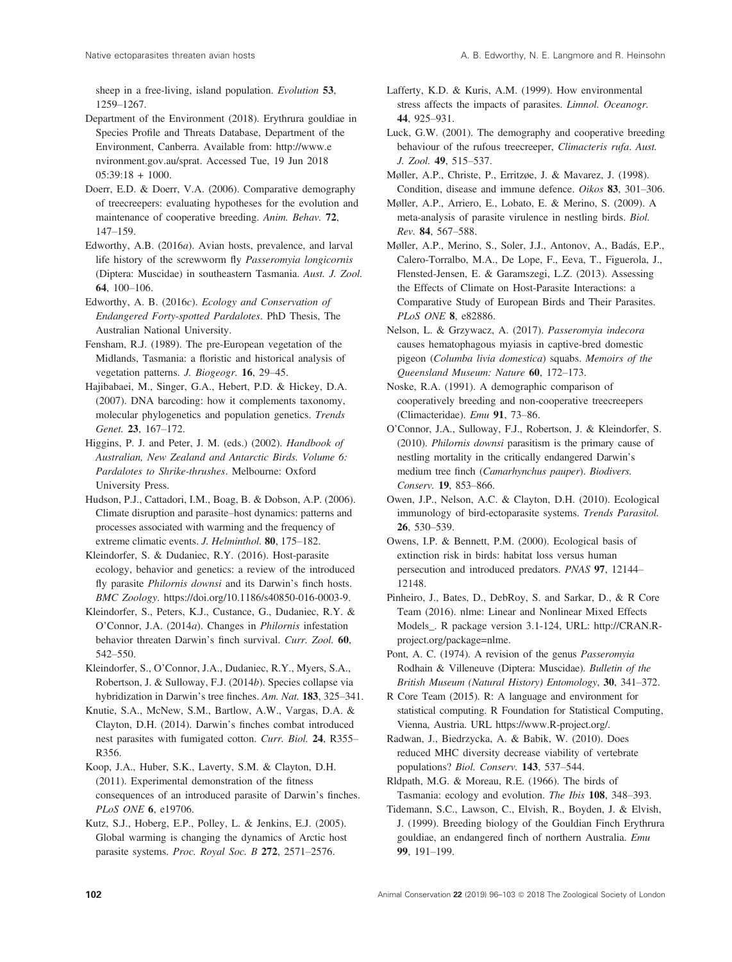sheep in a free-living, island population. Evolution 53, 1259–1267.

Department of the Environment (2018). Erythrura gouldiae in Species Profile and Threats Database, Department of the Environment, Canberra. Available from: [http://www.e](http://www.environment.gov.au/sprat) [nvironment.gov.au/sprat](http://www.environment.gov.au/sprat). Accessed Tue, 19 Jun 2018  $05:39:18 + 1000.$ 

Doerr, E.D. & Doerr, V.A. (2006). Comparative demography of treecreepers: evaluating hypotheses for the evolution and maintenance of cooperative breeding. Anim. Behav. 72, 147–159.

Edworthy, A.B. (2016a). Avian hosts, prevalence, and larval life history of the screwworm fly Passeromyia longicornis (Diptera: Muscidae) in southeastern Tasmania. Aust. J. Zool. 64, 100–106.

Edworthy, A. B. (2016c). Ecology and Conservation of Endangered Forty-spotted Pardalotes. PhD Thesis, The Australian National University.

Fensham, R.J. (1989). The pre-European vegetation of the Midlands, Tasmania: a floristic and historical analysis of vegetation patterns. J. Biogeogr. 16, 29–45.

Hajibabaei, M., Singer, G.A., Hebert, P.D. & Hickey, D.A. (2007). DNA barcoding: how it complements taxonomy, molecular phylogenetics and population genetics. Trends Genet. 23, 167–172.

Higgins, P. J. and Peter, J. M. (eds.) (2002). Handbook of Australian, New Zealand and Antarctic Birds. Volume 6: Pardalotes to Shrike-thrushes. Melbourne: Oxford University Press.

Hudson, P.J., Cattadori, I.M., Boag, B. & Dobson, A.P. (2006). Climate disruption and parasite–host dynamics: patterns and processes associated with warming and the frequency of extreme climatic events. J. Helminthol. 80, 175–182.

Kleindorfer, S. & Dudaniec, R.Y. (2016). Host-parasite ecology, behavior and genetics: a review of the introduced fly parasite Philornis downsi and its Darwin's finch hosts. BMC Zoology.<https://doi.org/10.1186/s40850-016-0003-9>.

Kleindorfer, S., Peters, K.J., Custance, G., Dudaniec, R.Y. & O'Connor, J.A. (2014a). Changes in Philornis infestation behavior threaten Darwin's finch survival. Curr. Zool. 60, 542–550.

Kleindorfer, S., O'Connor, J.A., Dudaniec, R.Y., Myers, S.A., Robertson, J. & Sulloway, F.J. (2014b). Species collapse via hybridization in Darwin's tree finches. Am. Nat. 183, 325–341.

Knutie, S.A., McNew, S.M., Bartlow, A.W., Vargas, D.A. & Clayton, D.H. (2014). Darwin's finches combat introduced nest parasites with fumigated cotton. Curr. Biol. 24, R355– R356.

Koop, J.A., Huber, S.K., Laverty, S.M. & Clayton, D.H. (2011). Experimental demonstration of the fitness consequences of an introduced parasite of Darwin's finches. PLoS ONE 6, e19706.

Kutz, S.J., Hoberg, E.P., Polley, L. & Jenkins, E.J. (2005). Global warming is changing the dynamics of Arctic host parasite systems. Proc. Royal Soc. B 272, 2571–2576.

Lafferty, K.D. & Kuris, A.M. (1999). How environmental stress affects the impacts of parasites. Limnol. Oceanogr. 44, 925–931.

Luck, G.W. (2001). The demography and cooperative breeding behaviour of the rufous treecreeper, Climacteris rufa. Aust. J. Zool. 49, 515–537.

Møller, A.P., Christe, P., Erritzøe, J. & Mavarez, J. (1998). Condition, disease and immune defence. Oikos 83, 301–306.

Møller, A.P., Arriero, E., Lobato, E. & Merino, S. (2009). A meta-analysis of parasite virulence in nestling birds. Biol. Rev. 84, 567–588.

Møller, A.P., Merino, S., Soler, J.J., Antonov, A., Badás, E.P., Calero-Torralbo, M.A., De Lope, F., Eeva, T., Figuerola, J., Flensted-Jensen, E. & Garamszegi, L.Z. (2013). Assessing the Effects of Climate on Host-Parasite Interactions: a Comparative Study of European Birds and Their Parasites. PLoS ONE 8, e82886.

Nelson, L. & Grzywacz, A. (2017). Passeromyia indecora causes hematophagous myiasis in captive-bred domestic pigeon (Columba livia domestica) squabs. Memoirs of the Queensland Museum: Nature 60, 172–173.

Noske, R.A. (1991). A demographic comparison of cooperatively breeding and non-cooperative treecreepers (Climacteridae). Emu 91, 73–86.

O'Connor, J.A., Sulloway, F.J., Robertson, J. & Kleindorfer, S. (2010). Philornis downsi parasitism is the primary cause of nestling mortality in the critically endangered Darwin's medium tree finch (Camarhynchus pauper). Biodivers. Conserv. 19, 853–866.

Owen, J.P., Nelson, A.C. & Clayton, D.H. (2010). Ecological immunology of bird-ectoparasite systems. Trends Parasitol. 26, 530–539.

Owens, I.P. & Bennett, P.M. (2000). Ecological basis of extinction risk in birds: habitat loss versus human persecution and introduced predators. PNAS 97, 12144– 12148.

Pinheiro, J., Bates, D., DebRoy, S. and Sarkar, D., & R Core Team (2016). nlme: Linear and Nonlinear Mixed Effects Models\_. R package version 3.1-124, URL: [http://CRAN.R](http://CRAN.R-project.org/package=nlme)[project.org/package=nlme.](http://CRAN.R-project.org/package=nlme)

Pont, A. C. (1974). A revision of the genus Passeromyia Rodhain & Villeneuve (Diptera: Muscidae). Bulletin of the British Museum (Natural History) Entomology, 30, 341–372.

R Core Team (2015). R: A language and environment for statistical computing. R Foundation for Statistical Computing, Vienna, Austria. URL<https://www.R-project.org/>.

Radwan, J., Biedrzycka, A. & Babik, W. (2010). Does reduced MHC diversity decrease viability of vertebrate populations? Biol. Conserv. 143, 537–544.

Rldpath, M.G. & Moreau, R.E. (1966). The birds of Tasmania: ecology and evolution. The Ibis 108, 348–393.

Tidemann, S.C., Lawson, C., Elvish, R., Boyden, J. & Elvish, J. (1999). Breeding biology of the Gouldian Finch Erythrura gouldiae, an endangered finch of northern Australia. Emu 99, 191–199.